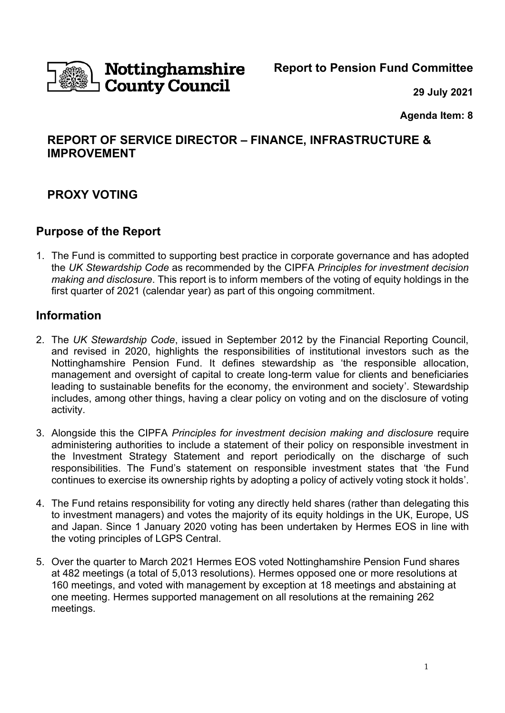

# Nottinghamshire **County Council**

**Report to Pension Fund Committee**

**29 July 2021**

**Agenda Item: 8**

# **REPORT OF SERVICE DIRECTOR – FINANCE, INFRASTRUCTURE & IMPROVEMENT**

# **PROXY VOTING**

### **Purpose of the Report**

1. The Fund is committed to supporting best practice in corporate governance and has adopted the *UK Stewardship Code* as recommended by the CIPFA *Principles for investment decision making and disclosure*. This report is to inform members of the voting of equity holdings in the first quarter of 2021 (calendar year) as part of this ongoing commitment.

### **Information**

- 2. The *UK Stewardship Code*, issued in September 2012 by the Financial Reporting Council, and revised in 2020, highlights the responsibilities of institutional investors such as the Nottinghamshire Pension Fund. It defines stewardship as 'the responsible allocation, management and oversight of capital to create long-term value for clients and beneficiaries leading to sustainable benefits for the economy, the environment and society'. Stewardship includes, among other things, having a clear policy on voting and on the disclosure of voting activity.
- 3. Alongside this the CIPFA *Principles for investment decision making and disclosure* require administering authorities to include a statement of their policy on responsible investment in the Investment Strategy Statement and report periodically on the discharge of such responsibilities. The Fund's statement on responsible investment states that 'the Fund continues to exercise its ownership rights by adopting a policy of actively voting stock it holds'.
- 4. The Fund retains responsibility for voting any directly held shares (rather than delegating this to investment managers) and votes the majority of its equity holdings in the UK, Europe, US and Japan. Since 1 January 2020 voting has been undertaken by Hermes EOS in line with the voting principles of LGPS Central.
- 5. Over the quarter to March 2021 Hermes EOS voted Nottinghamshire Pension Fund shares at 482 meetings (a total of 5,013 resolutions). Hermes opposed one or more resolutions at 160 meetings, and voted with management by exception at 18 meetings and abstaining at one meeting. Hermes supported management on all resolutions at the remaining 262 meetings.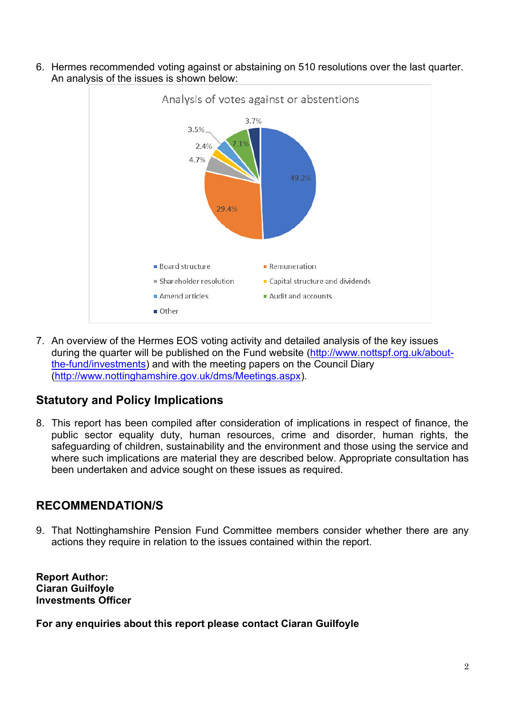

6. Hermes recommended voting against or abstaining on 510 resolutions over the last quarter. An analysis of the issues is shown below:

7. An overview of the Hermes EOS voting activity and detailed analysis of the key issues during the quarter will be published on the Fund website [\(http://www.nottspf.org.uk/about](http://www.nottspf.org.uk/about-the-fund/investments)[the-fund/investments\)](http://www.nottspf.org.uk/about-the-fund/investments) and with the meeting papers on the Council Diary [\(http://www.nottinghamshire.gov.uk/dms/Meetings.aspx\)](http://www.nottinghamshire.gov.uk/dms/Meetings.aspx).

# **Statutory and Policy Implications**

8. This report has been compiled after consideration of implications in respect of finance, the public sector equality duty, human resources, crime and disorder, human rights, the safeguarding of children, sustainability and the environment and those using the service and where such implications are material they are described below. Appropriate consultation has been undertaken and advice sought on these issues as required.

# **RECOMMENDATION/S**

9. That Nottinghamshire Pension Fund Committee members consider whether there are any actions they require in relation to the issues contained within the report.

**Report Author: Ciaran Guilfoyle Investments Officer**

**For any enquiries about this report please contact Ciaran Guilfoyle**